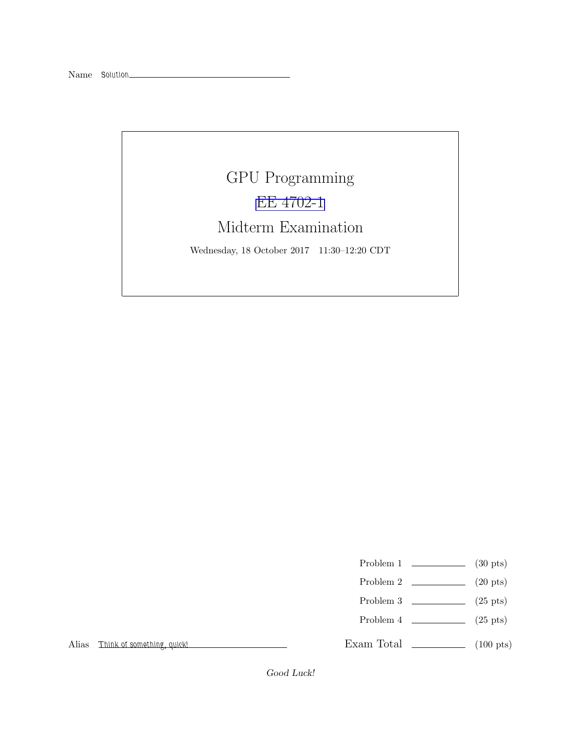## GPU Programming [EE 4702-1](http://www.ece.lsu.edu/koppel/gpup/) Midterm Examination Wednesday, 18 October 2017 11:30–12:20 CDT

- Problem 1  $\qquad \qquad$  (30 pts)
- Problem 2  $\qquad \qquad$  (20 pts)
- Problem 3  $\qquad \qquad$  (25 pts)
- Problem 4  $\qquad \qquad (25 \text{ pts})$

Exam Total \_\_\_\_\_\_\_\_\_\_\_\_\_ (100 pts)

Alias Think of something, quick!

Good Luck!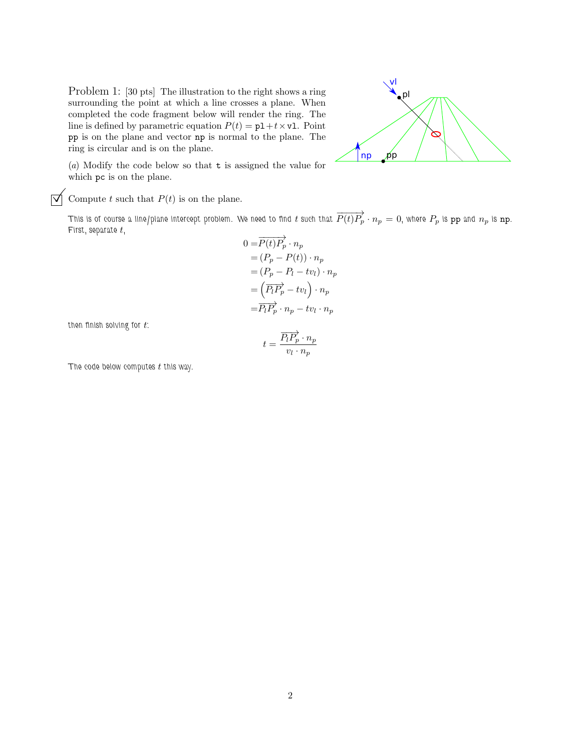Problem 1: [30 pts] The illustration to the right shows a ring surrounding the point at which a line crosses a plane. When completed the code fragment below will render the ring. The line is defined by parametric equation  $P(t) = p1 + t \times v1$ . Point pp is on the plane and vector np is normal to the plane. The ring is circular and is on the plane.



(*a*) Modify the code below so that t is assigned the value for which pc is on the plane.

 $\overrightarrow{\bigvee}$  Compute t such that  $P(t)$  is on the plane.

This is of course a line/plane intercept problem. We need to find  $t$  such that  $\overrightarrow{P(t)P_p}\cdot n_p=0,$  where  $P_p$  is  ${\tt pp}$  and  $n_p$  is  ${\tt np}.$ First, separate  $t$ ,

$$
0 = \overrightarrow{P(t)} \overrightarrow{P_p} \cdot n_p
$$
  
=  $(P_p - P(t)) \cdot n_p$   
=  $(P_p - P_t - tv_l) \cdot n_p$   
=  $\left(\overrightarrow{P_t P_p} - tv_l\right) \cdot n_p$   
=  $\overrightarrow{P_t P_p} \cdot n_p - tv_l \cdot n_p$ 

then finish solving for  $t$ :

$$
t = \frac{\overrightarrow{P_l P_p} \cdot n_p}{v_l \cdot n_p}
$$

The code below computes  $t$  this way.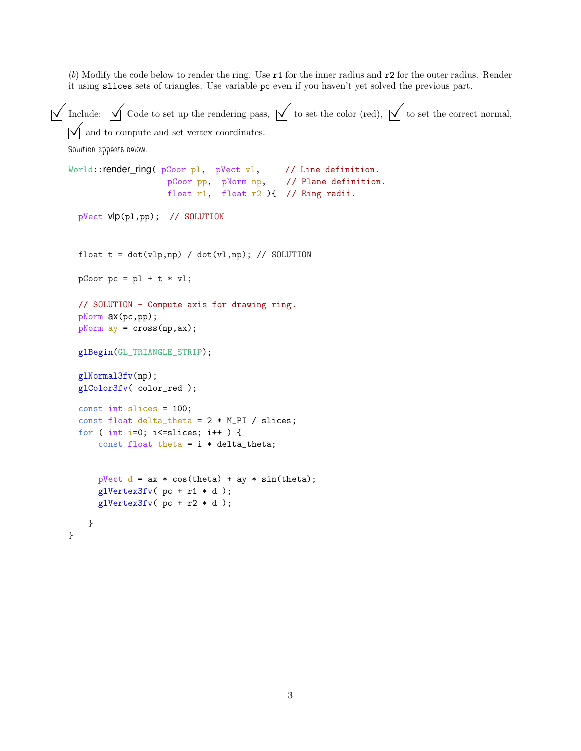(*b*) Modify the code below to render the ring. Use r1 for the inner radius and r2 for the outer radius. Render it using slices sets of triangles. Use variable pc even if you haven't yet solved the previous part.

```
\overline{\sqrt{\ }} Include: \overline{\sqrt{\ }} Code to set up the rendering pass, \overline{\sqrt{\ }} to set the color (red), \overline{\sqrt{\ }} to set the correct normal,
    \vert \overrightarrow{\mathsf{q}} \vert and to compute and set vertex coordinates.
    Solution appears below.
    World:: render_ring( pCoor pl, pVect vl, // Line definition.
                           pCoor pp, pNorm np, // Plane definition.
                           float r1, float r2 ){ // Ring radii.
      pVect vlp(pl,pp); // SOLUTION
      float t = dot(vlp, np) / dot(vl, np); // SOLUTION
      pCoor pc = p1 + t * v1;// SOLUTION - Compute axis for drawing ring.
      pNorm ax(pc,pp);
      pNorm ay = cross(np,ax);
      glBegin(GL_TRIANGLE_STRIP);
      glNormal3fv(np);
      glColor3fv( color_red );
      const int slices = 100;
      const float delta_theta = 2 * M_PI / slices;
      for ( int i=0; i <= slices; i++ ) {
           const float theta = i * delta_{i}pVect d = ax * cos(theta) + ay * sin(theta);glVertex3fv( pc + r1 * d );
           g1Vertex3fv( pc + r2 * d);
        }
    }
```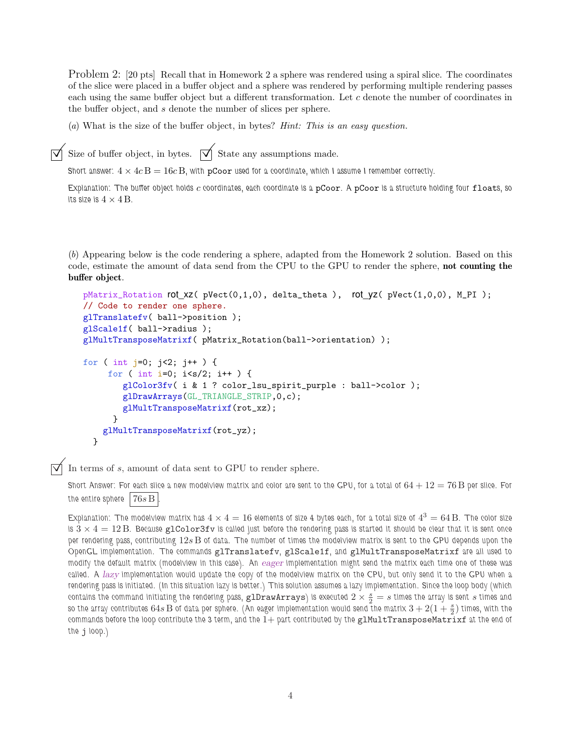Problem 2: [20 pts] Recall that in Homework 2 a sphere was rendered using a spiral slice. The coordinates of the slice were placed in a buffer object and a sphere was rendered by performing multiple rendering passes each using the same buffer object but a different transformation. Let c denote the number of coordinates in the buffer object, and s denote the number of slices per sphere.

(*a*) What is the size of the buffer object, in bytes? *Hint: This is an easy question.*

 $\overrightarrow{\bigvee}$  Size of buffer object, in bytes.  $\overrightarrow{\bigvee}$  State any assumptions made.

Short answer:  $4 \times 4c$  B = 16c B, with pCoor used for a coordinate, which I assume I remember correctly.

Explanation: The buffer object holds  $c$  coordinates, each coordinate is a pCoor. A pCoor is a structure holding four floats, so its size is  $4 \times 4$  B.

(*b*) Appearing below is the code rendering a sphere, adapted from the Homework 2 solution. Based on this code, estimate the amount of data send from the CPU to the GPU to render the sphere, not counting the buffer object.

```
pMatrix_Rotation rot xz( pVect(0,1,0), delta_theta ), rot yz( pVect(1,0,0), M_PI );
// Code to render one sphere.
glTranslatefv( ball->position );
glScale1f( ball->radius );
glMultTransposeMatrixf( pMatrix_Rotation(ball->orientation) );
for ( int j=0; j<2; j++ ) {
     for ( int i=0; i<s/2; i++ ) {
        glColor3fv( i & 1 ? color_lsu_spirit_purple : ball->color );
        glDrawArrays(GL_TRIANGLE_STRIP,0,c);
        glMultTransposeMatrixf(rot_xz);
      }
    glMultTransposeMatrixf(rot_yz);
  }
```
In terms of <sup>s</sup>, amount of data sent to GPU to render sphere.

Short Answer: For each slice a new modelview matrix and color are sent to the GPU, for a total of  $64 + 12 = 76$  B per slice. For the entire sphere  $|76s\,\mathrm{B}|$ 

Explanation: The modelview matrix has  $4\times4=16$  elements of size 4 bytes each, for a total size of  $4^3=64\,\mathrm{B}$ . The color size is  $3 \times 4 = 12$  B. Because glColor3fv is called just before the rendering pass is started it should be clear that it is sent once per rendering pass, contributing 12s B of data. The number of times the modelview matrix is sent to the GPU depends upon the OpenGL implementation. The commands glTranslatefv, glScale1f, and glMultTransposeMatrixf are all used to modify the default matrix (modelview in this case). An eager implementation might send the matrix each time one of these was called. A lazy implementation would update the copy of the modelview matrix on the CPU, but only send it to the GPU when a rendering pass is initiated. (In this situation lazy is better.) This solution assumes a lazy implementation. Since the loop body (which contains the command initiating the rendering pass,  $g1$ DrawArrays) is executed  $2\times\frac{s}{2}=s$  times the array is sent  $s$  times and so the array contributes 64 $s$  B of data per sphere. (An eager implementation would send the matrix  $3+2(1+\frac{s}{2})$  times, with the commands before the loop contribute the 3 term, and the  $1+$  part contributed by the  $g1MultTransposeMatrix f$  at the end of the j loop.)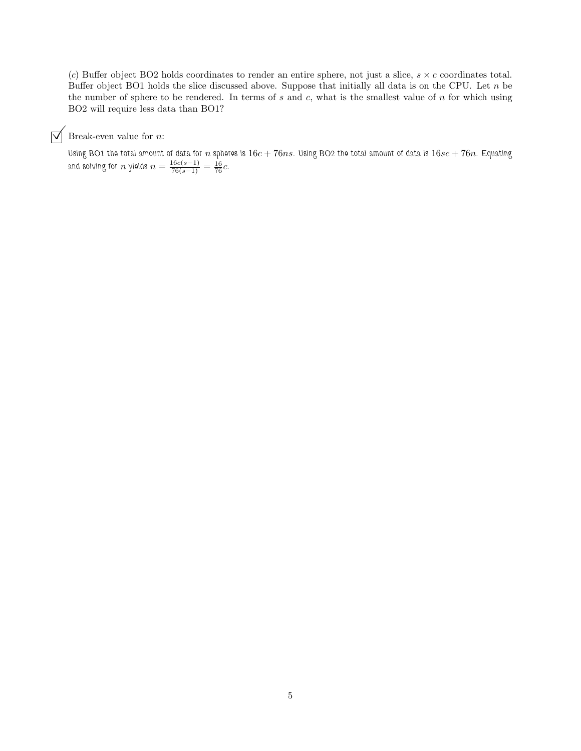(*c*) Buffer object BO2 holds coordinates to render an entire sphere, not just a slice,  $s \times c$  coordinates total. Buffer object BO1 holds the slice discussed above. Suppose that initially all data is on the CPU. Let  $n$  be the number of sphere to be rendered. In terms of  $s$  and  $c$ , what is the smallest value of  $n$  for which using BO2 will require less data than BO1?

 $\overrightarrow{\bigvee}$  Break-even value for *n*:

Using BO1 the total amount of data for n spheres is  $16c + 76ns$ . Using BO2 the total amount of data is  $16sc + 76n$ . Equating and solving for  $n$  yields  $n = \frac{16c(s-1)}{76(s-1)} = \frac{16}{76}c$ .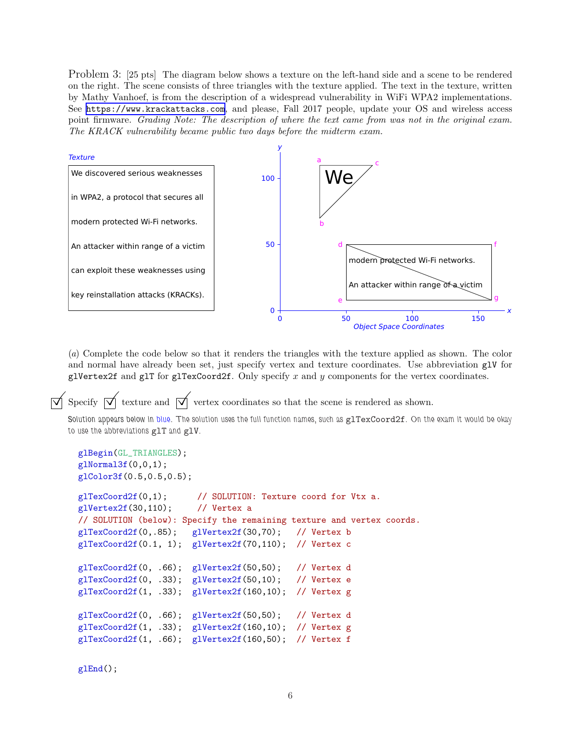Problem 3: [25 pts] The diagram below shows a texture on the left-hand side and a scene to be rendered on the right. The scene consists of three triangles with the texture applied. The text in the texture, written by Mathy Vanhoef, is from the description of a widespread vulnerability in WiFi WPA2 implementations. See <https://www.krackattacks.com>, and please, Fall 2017 people, update your OS and wireless access point firmware. *Grading Note: The description of where the text came from was not in the original exam. The KRACK vulnerability became public two days before the midterm exam.*



(*a*) Complete the code below so that it renders the triangles with the texture applied as shown. The color and normal have already been set, just specify vertex and texture coordinates. Use abbreviation glV for glVertex2f and glT for glTexCoord2f. Only specify  $x$  and  $y$  components for the vertex coordinates.

Specify  $\overrightarrow{\mathcal{N}}$  texture and  $\overrightarrow{\mathcal{N}}$  vertex coordinates so that the scene is rendered as shown.

Solution appears below in blue. The solution uses the full function names, such as glTexCoord2f. On the exam it would be okay to use the abbreviations glT and glV.

```
glBegin(GL_TRIANGLES);
glNormal3f(0,0,1);
glColor3f(0.5,0.5,0.5);
glTexCoord2f(0,1); // SOLUTION: Texture coord for Vtx a.
glVertex2f(30,110); // Vertex a
// SOLUTION (below): Specify the remaining texture and vertex coords.
glTexCoord2f(0,.85); glVertex2f(30,70); // Vertex b
g1TexCoord2f(0.1, 1); g1Vertex2f(70,110); // Vertex c
glTexCoord2f(0, .66); glVertex2f(50,50); // Vertex d
glTexCoord2f(0, .33); glVertex2f(50,10); // Vertex e
glTexCoord2f(1, .33); glVertex2f(160,10); // Vertex g
glTexCoord2f(0, .66); glVertex2f(50,50); // Vertex d
glTexCoord2f(1, .33); glVertex2f(160,10); // Vertex g
glTexCoord2f(1, .66); glVertex2f(160,50); // Vertex f
```
glEnd();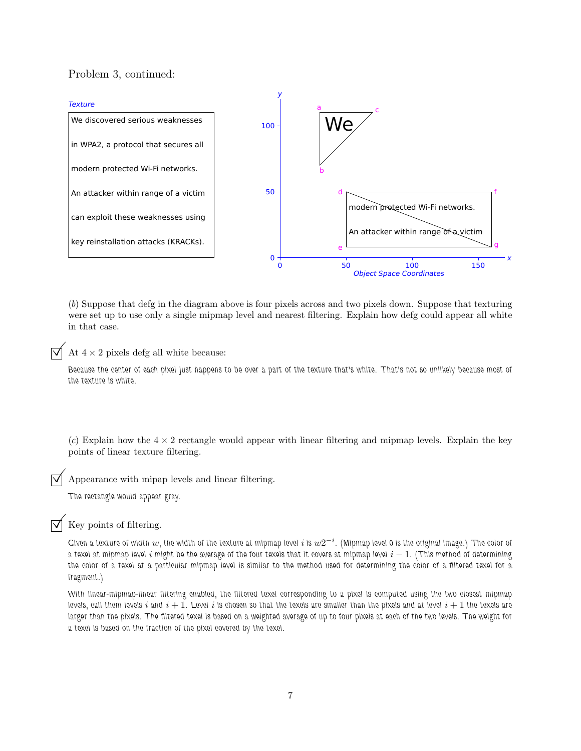## Problem 3, continued:



(*b*) Suppose that defg in the diagram above is four pixels across and two pixels down. Suppose that texturing were set up to use only a single mipmap level and nearest filtering. Explain how defg could appear all white in that case.

At  $4 \times 2$  pixels defg all white because:

Because the center of each pixel just happens to be over a part of the texture that's white. That's not so unlikely because most of the texture is white.

 $(c)$  Explain how the  $4 \times 2$  rectangle would appear with linear filtering and mipmap levels. Explain the key points of linear texture filtering.

Appearance with mipap levels and linear filtering.

The rectangle would appear gray.

Key points of filtering.

Given a texture of width  $w$ , the width of the texture at mipmap level  $i$  is  $w2^{-i}$ . (Mipmap level 0 is the original image.) The color of a texel at mipmap level i might be the average of the four texels that it covers at mipmap level  $i - 1$ . (This method of determining the color of a texel at a particular mipmap level is similar to the method used for determining the color of a filtered texel for a fragment.)

With linear-mipmap-linear filtering enabled, the filtered texel corresponding to a pixel is computed using the two closest mipmap levels, call them levels  $i$  and  $i+1$ . Level  $i$  is chosen so that the texels are smaller than the pixels and at level  $i+1$  the texels are larger than the pixels. The filtered texel is based on a weighted average of up to four pixels at each of the two levels. The weight for a texel is based on the fraction of the pixel covered by the texel.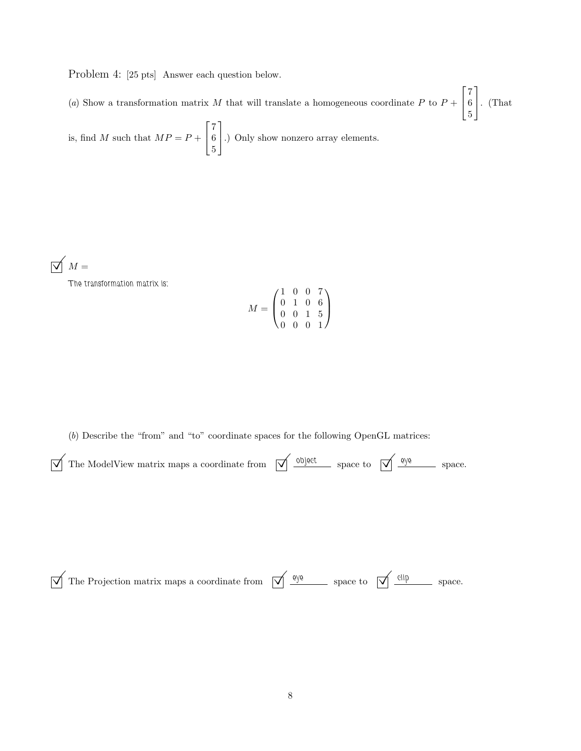Problem 4: [25 pts] Answer each question below.

(a) Show a transformation matrix M that will translate a homogeneous coordinate P to  $P +$  $\sqrt{ }$  $\overline{1}$ 7 6 5 1 . (That

is, find M such that  $MP = P +$  $\sqrt{ }$  $\overline{\phantom{a}}$ 7 6 5 1 .) Only show nonzero array elements.

 $\overline{\bigtriangledown}$   $M =$ 

The transformation matrix is:

$$
M = \begin{pmatrix} 1 & 0 & 0 & 7 \\ 0 & 1 & 0 & 6 \\ 0 & 0 & 1 & 5 \\ 0 & 0 & 0 & 1 \end{pmatrix}
$$

(*b*) Describe the "from" and "to" coordinate spaces for the following OpenGL matrices:

| $\sqrt{\ }$ The ModelView matrix maps a coordinate from $\sqrt{\ }$ object space to $\sqrt{\ }$ eye space. |  |  |  |
|------------------------------------------------------------------------------------------------------------|--|--|--|
|                                                                                                            |  |  |  |

 $\sqrt{\frac{q}{q}}$  The Projection matrix maps a coordinate from  $\sqrt{\frac{q}{q}}$  space to  $\sqrt{\frac{q}{q}}$  space.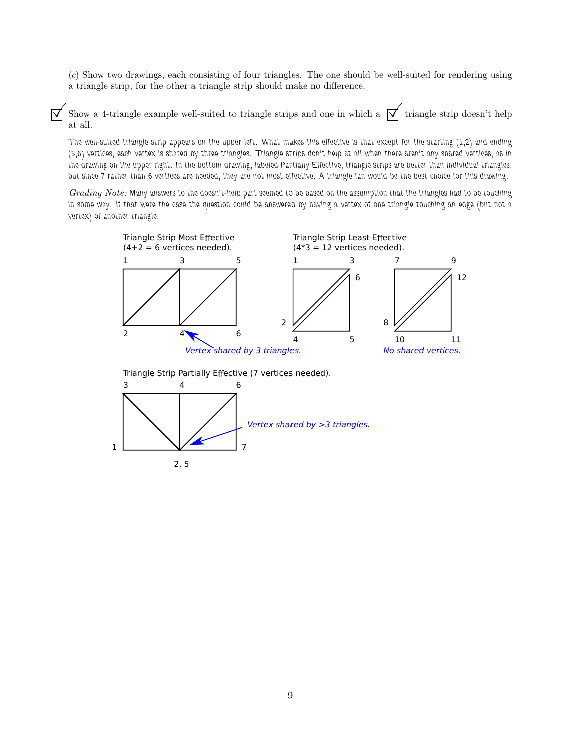(*c*) Show two drawings, each consisting of four triangles. The one should be well-suited for rendering using a triangle strip, for the other a triangle strip should make no difference.

Show a 4-triangle example well-suited to triangle strips and one in which a  $\overrightarrow{\mathcal{A}}$  triangle strip doesn't help at all.

The well-suited triangle strip appears on the upper left. What makes this effective is that except for the starting (1,2) and ending (5,6) vertices, each vertex is shared by three triangles. Triangle strips don't help at all when there aren't any shared vertices, as in the drawing on the upper right. In the bottom drawing, labeled Partially Effective, triangle strips are better than individual triangles, but since 7 rather than 6 vertices are needed, they are not most effective. A triangle fan would be the best choice for this drawing.

*Grading Note:* Many answers to the doesn't-help part seemed to be based on the assumption that the triangles had to be touching in some way. If that were the case the question could be answered by having a vertex of one triangle touching an edge (but not a vertex) of another triangle.



Triangle Strip Partially Effective (7 vertices needed).